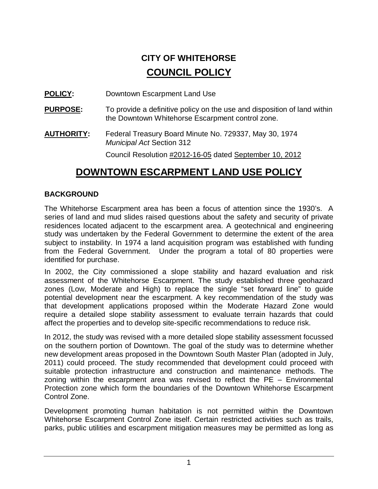# **CITY OF WHITEHORSE COUNCIL POLICY**

**POLICY:** Downtown Escarpment Land Use

- **PURPOSE:** To provide a definitive policy on the use and disposition of land within the Downtown Whitehorse Escarpment control zone.
- **AUTHORITY:** Federal Treasury Board Minute No. 729337, May 30, 1974 *Municipal Act* Section 312

Council Resolution #2012-16-05 dated September 10, 2012

## **DOWNTOWN ESCARPMENT LAND USE POLICY**

### **BACKGROUND**

The Whitehorse Escarpment area has been a focus of attention since the 1930's. A series of land and mud slides raised questions about the safety and security of private residences located adjacent to the escarpment area. A geotechnical and engineering study was undertaken by the Federal Government to determine the extent of the area subject to instability. In 1974 a land acquisition program was established with funding from the Federal Government. Under the program a total of 80 properties were identified for purchase.

In 2002, the City commissioned a slope stability and hazard evaluation and risk assessment of the Whitehorse Escarpment. The study established three geohazard zones (Low, Moderate and High) to replace the single "set forward line" to guide potential development near the escarpment. A key recommendation of the study was that development applications proposed within the Moderate Hazard Zone would require a detailed slope stability assessment to evaluate terrain hazards that could affect the properties and to develop site-specific recommendations to reduce risk.

In 2012, the study was revised with a more detailed slope stability assessment focussed on the southern portion of Downtown. The goal of the study was to determine whether new development areas proposed in the Downtown South Master Plan (adopted in July, 2011) could proceed. The study recommended that development could proceed with suitable protection infrastructure and construction and maintenance methods. The zoning within the escarpment area was revised to reflect the PE – Environmental Protection zone which form the boundaries of the Downtown Whitehorse Escarpment Control Zone.

Development promoting human habitation is not permitted within the Downtown Whitehorse Escarpment Control Zone itself. Certain restricted activities such as trails, parks, public utilities and escarpment mitigation measures may be permitted as long as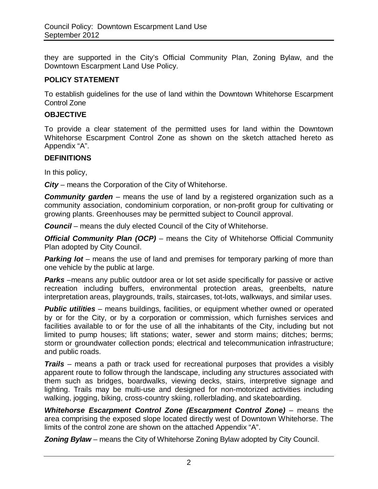they are supported in the City's Official Community Plan, Zoning Bylaw, and the Downtown Escarpment Land Use Policy.

#### **POLICY STATEMENT**

To establish guidelines for the use of land within the Downtown Whitehorse Escarpment Control Zone

#### **OBJECTIVE**

To provide a clear statement of the permitted uses for land within the Downtown Whitehorse Escarpment Control Zone as shown on the sketch attached hereto as Appendix "A".

#### **DEFINITIONS**

In this policy,

*City* – means the Corporation of the City of Whitehorse.

**Community garden** – means the use of land by a registered organization such as a community association, condominium corporation, or non-profit group for cultivating or growing plants. Greenhouses may be permitted subject to Council approval.

*Council* – means the duly elected Council of the City of Whitehorse.

*Official Community Plan (OCP) – means the City of Whitehorse Official Community* Plan adopted by City Council.

**Parking lot** – means the use of land and premises for temporary parking of more than one vehicle by the public at large.

*Parks* –means any public outdoor area or lot set aside specifically for passive or active recreation including buffers, environmental protection areas, greenbelts, nature interpretation areas, playgrounds, trails, staircases, tot-lots, walkways, and similar uses.

**Public utilities** – means buildings, facilities, or equipment whether owned or operated by or for the City, or by a corporation or commission, which furnishes services and facilities available to or for the use of all the inhabitants of the City, including but not limited to pump houses; lift stations; water, sewer and storm mains; ditches; berms; storm or groundwater collection ponds; electrical and telecommunication infrastructure; and public roads.

*Trails* – means a path or track used for recreational purposes that provides a visibly apparent route to follow through the landscape, including any structures associated with them such as bridges, boardwalks, viewing decks, stairs, interpretive signage and lighting. Trails may be multi-use and designed for non-motorized activities including walking, jogging, biking, cross-country skiing, rollerblading, and skateboarding.

*Whitehorse Escarpment Control Zone (Escarpment Control Zone)* – means the area comprising the exposed slope located directly west of Downtown Whitehorse. The limits of the control zone are shown on the attached Appendix "A".

**Zoning Bylaw** – means the City of Whitehorse Zoning Bylaw adopted by City Council.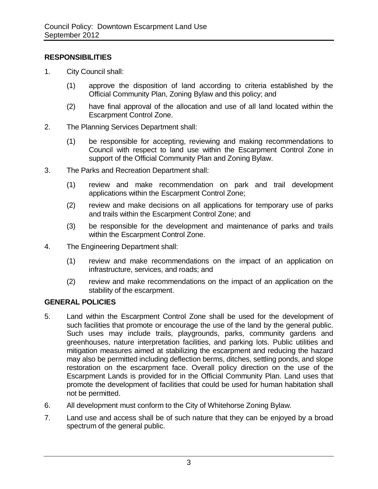## **RESPONSIBILITIES**

- 1. City Council shall:
	- (1) approve the disposition of land according to criteria established by the Official Community Plan, Zoning Bylaw and this policy; and
	- (2) have final approval of the allocation and use of all land located within the Escarpment Control Zone.
- 2. The Planning Services Department shall:
	- (1) be responsible for accepting, reviewing and making recommendations to Council with respect to land use within the Escarpment Control Zone in support of the Official Community Plan and Zoning Bylaw.
- 3. The Parks and Recreation Department shall:
	- (1) review and make recommendation on park and trail development applications within the Escarpment Control Zone;
	- (2) review and make decisions on all applications for temporary use of parks and trails within the Escarpment Control Zone; and
	- (3) be responsible for the development and maintenance of parks and trails within the Escarpment Control Zone.
- 4. The Engineering Department shall:
	- (1) review and make recommendations on the impact of an application on infrastructure, services, and roads; and
	- (2) review and make recommendations on the impact of an application on the stability of the escarpment.

## **GENERAL POLICIES**

- 5. Land within the Escarpment Control Zone shall be used for the development of such facilities that promote or encourage the use of the land by the general public. Such uses may include trails, playgrounds, parks, community gardens and greenhouses, nature interpretation facilities, and parking lots. Public utilities and mitigation measures aimed at stabilizing the escarpment and reducing the hazard may also be permitted including deflection berms, ditches, settling ponds, and slope restoration on the escarpment face. Overall policy direction on the use of the Escarpment Lands is provided for in the Official Community Plan. Land uses that promote the development of facilities that could be used for human habitation shall not be permitted.
- 6. All development must conform to the City of Whitehorse Zoning Bylaw.
- 7. Land use and access shall be of such nature that they can be enjoyed by a broad spectrum of the general public.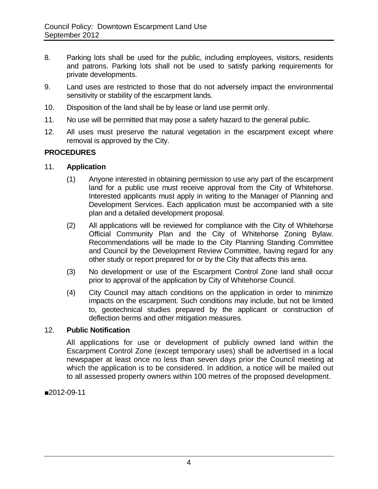- 8. Parking lots shall be used for the public, including employees, visitors, residents and patrons. Parking lots shall not be used to satisfy parking requirements for private developments.
- 9. Land uses are restricted to those that do not adversely impact the environmental sensitivity or stability of the escarpment lands.
- 10. Disposition of the land shall be by lease or land use permit only.
- 11. No use will be permitted that may pose a safety hazard to the general public.
- 12. All uses must preserve the natural vegetation in the escarpment except where removal is approved by the City.

#### **PROCEDURES**

- 11. **Application**
	- (1) Anyone interested in obtaining permission to use any part of the escarpment land for a public use must receive approval from the City of Whitehorse. Interested applicants must apply in writing to the Manager of Planning and Development Services. Each application must be accompanied with a site plan and a detailed development proposal.
	- (2) All applications will be reviewed for compliance with the City of Whitehorse Official Community Plan and the City of Whitehorse Zoning Bylaw. Recommendations will be made to the City Planning Standing Committee and Council by the Development Review Committee, having regard for any other study or report prepared for or by the City that affects this area.
	- (3) No development or use of the Escarpment Control Zone land shall occur prior to approval of the application by City of Whitehorse Council.
	- (4) City Council may attach conditions on the application in order to minimize impacts on the escarpment. Such conditions may include, but not be limited to, geotechnical studies prepared by the applicant or construction of deflection berms and other mitigation measures.

#### 12. **Public Notification**

All applications for use or development of publicly owned land within the Escarpment Control Zone (except temporary uses) shall be advertised in a local newspaper at least once no less than seven days prior the Council meeting at which the application is to be considered. In addition, a notice will be mailed out to all assessed property owners within 100 metres of the proposed development.

■2012-09-11